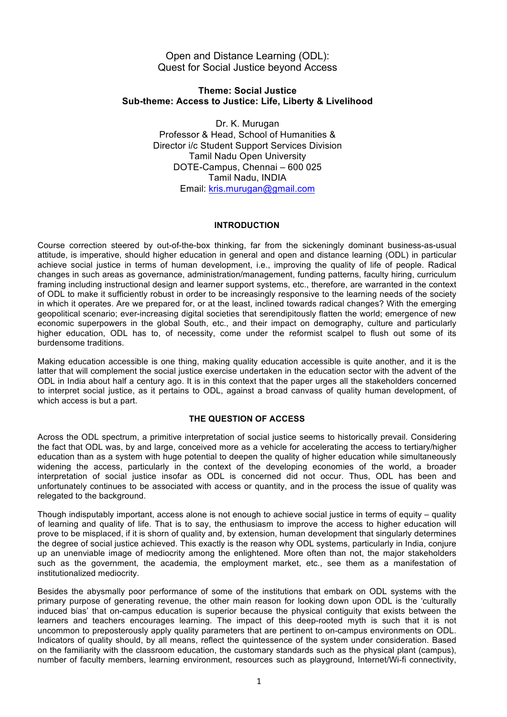# Open and Distance Learning (ODL): Quest for Social Justice beyond Access

## **Theme: Social Justice Sub-theme: Access to Justice: Life, Liberty & Livelihood**

Dr. K. Murugan Professor & Head, School of Humanities & Director i/c Student Support Services Division Tamil Nadu Open University DOTE-Campus, Chennai – 600 025 Tamil Nadu, INDIA Email: kris.murugan@gmail.com

## **INTRODUCTION**

Course correction steered by out-of-the-box thinking, far from the sickeningly dominant business-as-usual attitude, is imperative, should higher education in general and open and distance learning (ODL) in particular achieve social justice in terms of human development, i.e., improving the quality of life of people. Radical changes in such areas as governance, administration/management, funding patterns, faculty hiring, curriculum framing including instructional design and learner support systems, etc., therefore, are warranted in the context of ODL to make it sufficiently robust in order to be increasingly responsive to the learning needs of the society in which it operates. Are we prepared for, or at the least, inclined towards radical changes? With the emerging geopolitical scenario; ever-increasing digital societies that serendipitously flatten the world; emergence of new economic superpowers in the global South, etc., and their impact on demography, culture and particularly higher education, ODL has to, of necessity, come under the reformist scalpel to flush out some of its burdensome traditions.

Making education accessible is one thing, making quality education accessible is quite another, and it is the latter that will complement the social justice exercise undertaken in the education sector with the advent of the ODL in India about half a century ago. It is in this context that the paper urges all the stakeholders concerned to interpret social justice, as it pertains to ODL, against a broad canvass of quality human development, of which access is but a part.

## **THE QUESTION OF ACCESS**

Across the ODL spectrum, a primitive interpretation of social justice seems to historically prevail. Considering the fact that ODL was, by and large, conceived more as a vehicle for accelerating the access to tertiary/higher education than as a system with huge potential to deepen the quality of higher education while simultaneously widening the access, particularly in the context of the developing economies of the world, a broader interpretation of social justice insofar as ODL is concerned did not occur. Thus, ODL has been and unfortunately continues to be associated with access or quantity, and in the process the issue of quality was relegated to the background.

Though indisputably important, access alone is not enough to achieve social justice in terms of equity – quality of learning and quality of life. That is to say, the enthusiasm to improve the access to higher education will prove to be misplaced, if it is shorn of quality and, by extension, human development that singularly determines the degree of social justice achieved. This exactly is the reason why ODL systems, particularly in India, conjure up an unenviable image of mediocrity among the enlightened. More often than not, the major stakeholders such as the government, the academia, the employment market, etc., see them as a manifestation of institutionalized mediocrity.

Besides the abysmally poor performance of some of the institutions that embark on ODL systems with the primary purpose of generating revenue, the other main reason for looking down upon ODL is the 'culturally induced bias' that on-campus education is superior because the physical contiguity that exists between the learners and teachers encourages learning. The impact of this deep-rooted myth is such that it is not uncommon to preposterously apply quality parameters that are pertinent to on-campus environments on ODL. Indicators of quality should, by all means, reflect the quintessence of the system under consideration. Based on the familiarity with the classroom education, the customary standards such as the physical plant (campus), number of faculty members, learning environment, resources such as playground, Internet/Wi-fi connectivity,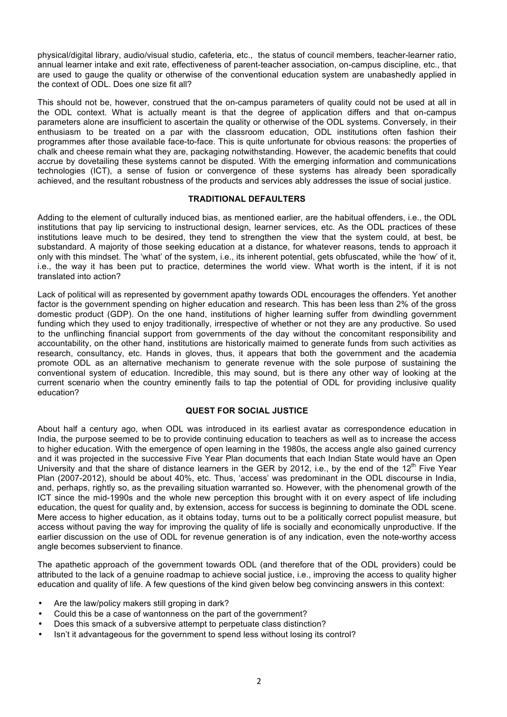physical/digital library, audio/visual studio, cafeteria, etc., the status of council members, teacher-learner ratio, annual learner intake and exit rate, effectiveness of parent-teacher association, on-campus discipline, etc., that are used to gauge the quality or otherwise of the conventional education system are unabashedly applied in the context of ODL. Does one size fit all?

This should not be, however, construed that the on-campus parameters of quality could not be used at all in the ODL context. What is actually meant is that the degree of application differs and that on-campus parameters alone are insufficient to ascertain the quality or otherwise of the ODL systems. Conversely, in their enthusiasm to be treated on a par with the classroom education, ODL institutions often fashion their programmes after those available face-to-face. This is quite unfortunate for obvious reasons: the properties of chalk and cheese remain what they are, packaging notwithstanding. However, the academic benefits that could accrue by dovetailing these systems cannot be disputed. With the emerging information and communications technologies (ICT), a sense of fusion or convergence of these systems has already been sporadically achieved, and the resultant robustness of the products and services ably addresses the issue of social justice.

#### **TRADITIONAL DEFAULTERS**

Adding to the element of culturally induced bias, as mentioned earlier, are the habitual offenders, i.e., the ODL institutions that pay lip servicing to instructional design, learner services, etc. As the ODL practices of these institutions leave much to be desired, they tend to strengthen the view that the system could, at best, be substandard. A majority of those seeking education at a distance, for whatever reasons, tends to approach it only with this mindset. The 'what' of the system, i.e., its inherent potential, gets obfuscated, while the 'how' of it, i.e., the way it has been put to practice, determines the world view. What worth is the intent, if it is not translated into action?

Lack of political will as represented by government apathy towards ODL encourages the offenders. Yet another factor is the government spending on higher education and research. This has been less than 2% of the gross domestic product (GDP). On the one hand, institutions of higher learning suffer from dwindling government funding which they used to enjoy traditionally, irrespective of whether or not they are any productive. So used to the unflinching financial support from governments of the day without the concomitant responsibility and accountability, on the other hand, institutions are historically maimed to generate funds from such activities as research, consultancy, etc. Hands in gloves, thus, it appears that both the government and the academia promote ODL as an alternative mechanism to generate revenue with the sole purpose of sustaining the conventional system of education. Incredible, this may sound, but is there any other way of looking at the current scenario when the country eminently fails to tap the potential of ODL for providing inclusive quality education?

#### **QUEST FOR SOCIAL JUSTICE**

About half a century ago, when ODL was introduced in its earliest avatar as correspondence education in India, the purpose seemed to be to provide continuing education to teachers as well as to increase the access to higher education. With the emergence of open learning in the 1980s, the access angle also gained currency and it was projected in the successive Five Year Plan documents that each Indian State would have an Open University and that the share of distance learners in the GER by 2012, i.e., by the end of the 12<sup>th</sup> Five Year Plan (2007-2012), should be about 40%, etc. Thus, 'access' was predominant in the ODL discourse in India, and, perhaps, rightly so, as the prevailing situation warranted so. However, with the phenomenal growth of the ICT since the mid-1990s and the whole new perception this brought with it on every aspect of life including education, the quest for quality and, by extension, access for success is beginning to dominate the ODL scene. Mere access to higher education, as it obtains today, turns out to be a politically correct populist measure, but access without paving the way for improving the quality of life is socially and economically unproductive. If the earlier discussion on the use of ODL for revenue generation is of any indication, even the note-worthy access angle becomes subservient to finance.

The apathetic approach of the government towards ODL (and therefore that of the ODL providers) could be attributed to the lack of a genuine roadmap to achieve social justice, i.e., improving the access to quality higher education and quality of life. A few questions of the kind given below beg convincing answers in this context:

- Are the law/policy makers still groping in dark?
- Could this be a case of wantonness on the part of the government?
- Does this smack of a subversive attempt to perpetuate class distinction?
- Isn't it advantageous for the government to spend less without losing its control?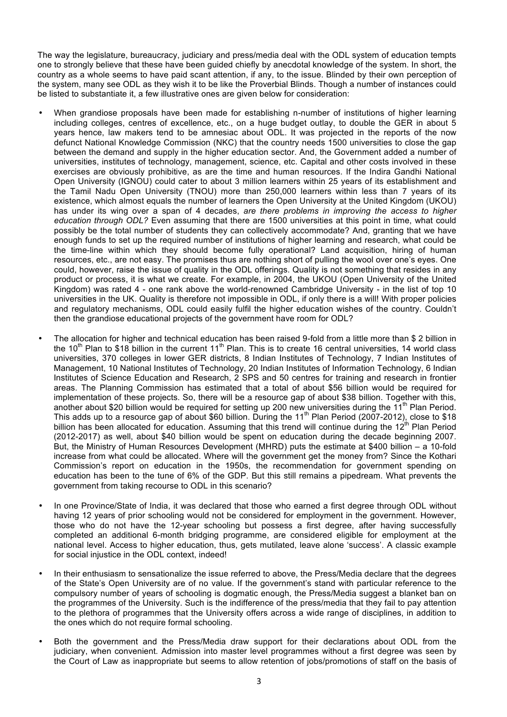The way the legislature, bureaucracy, judiciary and press/media deal with the ODL system of education tempts one to strongly believe that these have been guided chiefly by anecdotal knowledge of the system. In short, the country as a whole seems to have paid scant attention, if any, to the issue. Blinded by their own perception of the system, many see ODL as they wish it to be like the Proverbial Blinds. Though a number of instances could be listed to substantiate it, a few illustrative ones are given below for consideration:

- When grandiose proposals have been made for establishing n-number of institutions of higher learning including colleges, centres of excellence, etc., on a huge budget outlay, to double the GER in about 5 years hence, law makers tend to be amnesiac about ODL. It was projected in the reports of the now defunct National Knowledge Commission (NKC) that the country needs 1500 universities to close the gap between the demand and supply in the higher education sector. And, the Government added a number of universities, institutes of technology, management, science, etc. Capital and other costs involved in these exercises are obviously prohibitive, as are the time and human resources. If the Indira Gandhi National Open University (IGNOU) could cater to about 3 million learners within 25 years of its establishment and the Tamil Nadu Open University (TNOU) more than 250,000 learners within less than 7 years of its existence, which almost equals the number of learners the Open University at the United Kingdom (UKOU) has under its wing over a span of 4 decades, *are there problems in improving the access to higher education through ODL?* Even assuming that there are 1500 universities at this point in time, what could possibly be the total number of students they can collectively accommodate? And, granting that we have enough funds to set up the required number of institutions of higher learning and research, what could be the time-line within which they should become fully operational? Land acquisition, hiring of human resources, etc., are not easy. The promises thus are nothing short of pulling the wool over one's eyes. One could, however, raise the issue of quality in the ODL offerings. Quality is not something that resides in any product or process, it is what we create. For example, in 2004, the UKOU (Open University of the United Kingdom) was rated 4 - one rank above the world-renowned Cambridge University - in the list of top 10 universities in the UK. Quality is therefore not impossible in ODL, if only there is a will! With proper policies and regulatory mechanisms, ODL could easily fulfil the higher education wishes of the country. Couldn't then the grandiose educational projects of the government have room for ODL?
- The allocation for higher and technical education has been raised 9-fold from a little more than \$ 2 billion in the 10<sup>th</sup> Plan to \$18 billion in the current 11<sup>th</sup> Plan. This is to create 16 central universities, 14 world class universities, 370 colleges in lower GER districts, 8 Indian Institutes of Technology, 7 Indian Institutes of Management, 10 National Institutes of Technology, 20 Indian Institutes of Information Technology, 6 Indian Institutes of Science Education and Research, 2 SPS and 50 centres for training and research in frontier areas. The Planning Commission has estimated that a total of about \$56 billion would be required for implementation of these projects. So, there will be a resource gap of about \$38 billion. Together with this, another about \$20 billion would be required for setting up 200 new universities during the  $11^{th}$  Plan Period. This adds up to a resource gap of about \$60 billion. During the 11<sup>th</sup> Plan Period (2007-2012), close to \$18 billion has been allocated for education. Assuming that this trend will continue during the  $12^{th}$  Plan Period (2012-2017) as well, about \$40 billion would be spent on education during the decade beginning 2007. But, the Ministry of Human Resources Development (MHRD) puts the estimate at \$400 billion – a 10-fold increase from what could be allocated. Where will the government get the money from? Since the Kothari Commission's report on education in the 1950s, the recommendation for government spending on education has been to the tune of 6% of the GDP. But this still remains a pipedream. What prevents the government from taking recourse to ODL in this scenario?
- In one Province/State of India, it was declared that those who earned a first degree through ODL without having 12 years of prior schooling would not be considered for employment in the government. However, those who do not have the 12-year schooling but possess a first degree, after having successfully completed an additional 6-month bridging programme, are considered eligible for employment at the national level. Access to higher education, thus, gets mutilated, leave alone 'success'. A classic example for social injustice in the ODL context, indeed!
- In their enthusiasm to sensationalize the issue referred to above, the Press/Media declare that the degrees of the State's Open University are of no value. If the government's stand with particular reference to the compulsory number of years of schooling is dogmatic enough, the Press/Media suggest a blanket ban on the programmes of the University. Such is the indifference of the press/media that they fail to pay attention to the plethora of programmes that the University offers across a wide range of disciplines, in addition to the ones which do not require formal schooling.
- Both the government and the Press/Media draw support for their declarations about ODL from the judiciary, when convenient. Admission into master level programmes without a first degree was seen by the Court of Law as inappropriate but seems to allow retention of jobs/promotions of staff on the basis of